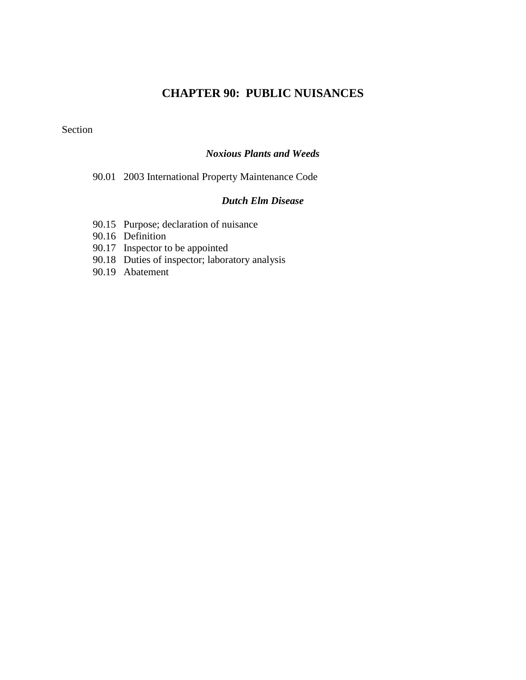# **CHAPTER 90: PUBLIC NUISANCES**

Section

#### *Noxious Plants and Weeds*

90.01 2003 International Property Maintenance Code

### *Dutch Elm Disease*

- 90.15 Purpose; declaration of nuisance
- 90.16 Definition
- 90.17 Inspector to be appointed
- 90.18 Duties of inspector; laboratory analysis
- 90.19 Abatement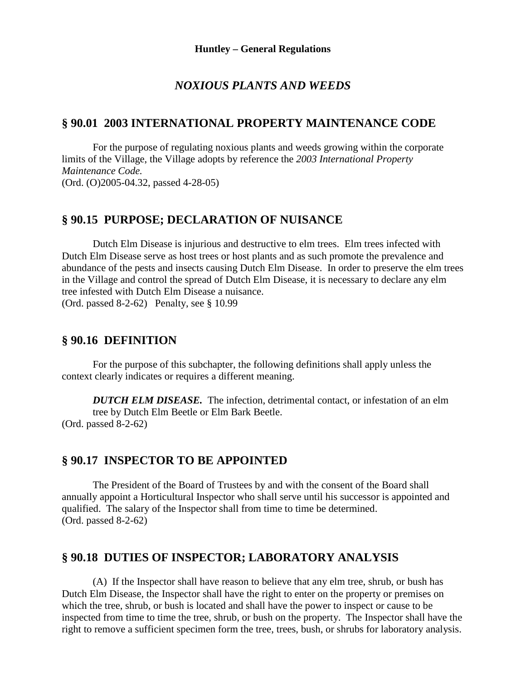#### *NOXIOUS PLANTS AND WEEDS*

#### **§ 90.01 2003 INTERNATIONAL PROPERTY MAINTENANCE CODE**

For the purpose of regulating noxious plants and weeds growing within the corporate limits of the Village, the Village adopts by reference the *2003 International Property Maintenance Code.* (Ord. (O)2005-04.32, passed 4-28-05)

## **§ 90.15 PURPOSE; DECLARATION OF NUISANCE**

Dutch Elm Disease is injurious and destructive to elm trees. Elm trees infected with Dutch Elm Disease serve as host trees or host plants and as such promote the prevalence and abundance of the pests and insects causing Dutch Elm Disease. In order to preserve the elm trees in the Village and control the spread of Dutch Elm Disease, it is necessary to declare any elm tree infested with Dutch Elm Disease a nuisance. (Ord. passed 8-2-62) Penalty, see § 10.99

#### **§ 90.16 DEFINITION**

For the purpose of this subchapter, the following definitions shall apply unless the context clearly indicates or requires a different meaning.

*DUTCH ELM DISEASE.* The infection, detrimental contact, or infestation of an elm tree by Dutch Elm Beetle or Elm Bark Beetle. (Ord. passed 8-2-62)

#### **§ 90.17 INSPECTOR TO BE APPOINTED**

The President of the Board of Trustees by and with the consent of the Board shall annually appoint a Horticultural Inspector who shall serve until his successor is appointed and qualified. The salary of the Inspector shall from time to time be determined. (Ord. passed 8-2-62)

## **§ 90.18 DUTIES OF INSPECTOR; LABORATORY ANALYSIS**

(A) If the Inspector shall have reason to believe that any elm tree, shrub, or bush has Dutch Elm Disease, the Inspector shall have the right to enter on the property or premises on which the tree, shrub, or bush is located and shall have the power to inspect or cause to be inspected from time to time the tree, shrub, or bush on the property. The Inspector shall have the right to remove a sufficient specimen form the tree, trees, bush, or shrubs for laboratory analysis.